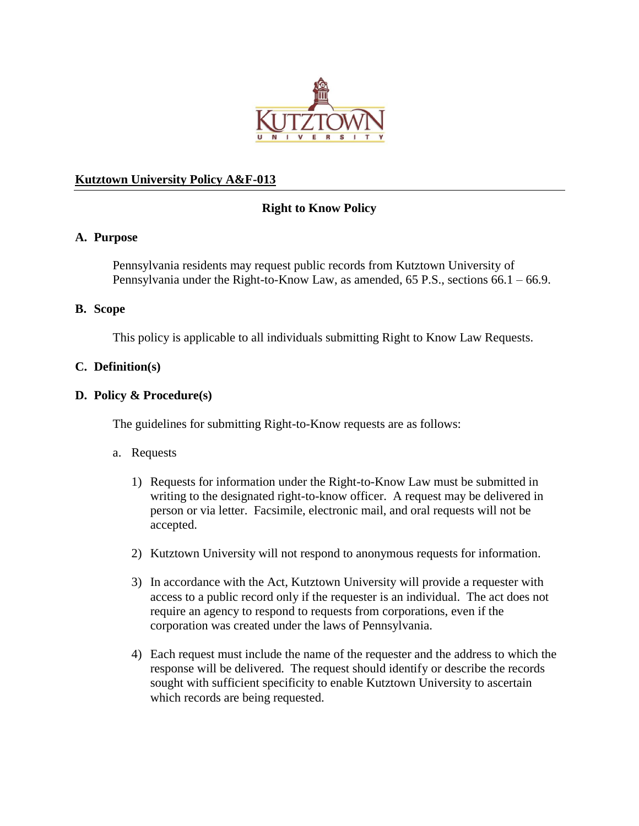

# **Kutztown University Policy A&F-013**

# **Right to Know Policy**

## **A. Purpose**

Pennsylvania residents may request public records from Kutztown University of Pennsylvania under the Right-to-Know Law, as amended, 65 P.S., sections 66.1 – 66.9.

#### **B. Scope**

This policy is applicable to all individuals submitting Right to Know Law Requests.

## **C. Definition(s)**

#### **D. Policy & Procedure(s)**

The guidelines for submitting Right-to-Know requests are as follows:

## a. Requests

- 1) Requests for information under the Right-to-Know Law must be submitted in writing to the designated right-to-know officer. A request may be delivered in person or via letter. Facsimile, electronic mail, and oral requests will not be accepted.
- 2) Kutztown University will not respond to anonymous requests for information.
- 3) In accordance with the Act, Kutztown University will provide a requester with access to a public record only if the requester is an individual. The act does not require an agency to respond to requests from corporations, even if the corporation was created under the laws of Pennsylvania.
- 4) Each request must include the name of the requester and the address to which the response will be delivered. The request should identify or describe the records sought with sufficient specificity to enable Kutztown University to ascertain which records are being requested.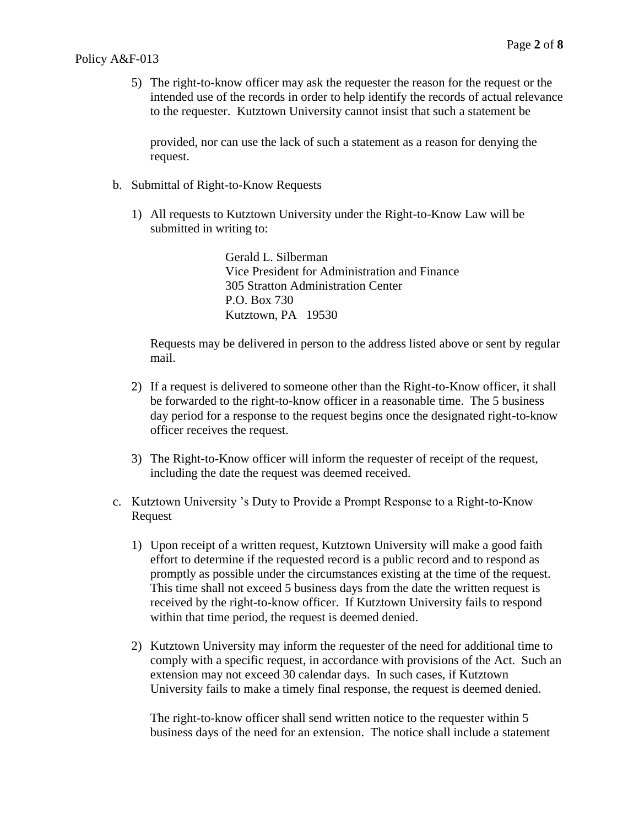5) The right-to-know officer may ask the requester the reason for the request or the intended use of the records in order to help identify the records of actual relevance to the requester. Kutztown University cannot insist that such a statement be

provided, nor can use the lack of such a statement as a reason for denying the request.

- b. Submittal of Right-to-Know Requests
	- 1) All requests to Kutztown University under the Right-to-Know Law will be submitted in writing to:

Gerald L. Silberman Vice President for Administration and Finance 305 Stratton Administration Center P.O. Box 730 Kutztown, PA 19530

Requests may be delivered in person to the address listed above or sent by regular mail.

- 2) If a request is delivered to someone other than the Right-to-Know officer, it shall be forwarded to the right-to-know officer in a reasonable time. The 5 business day period for a response to the request begins once the designated right-to-know officer receives the request.
- 3) The Right-to-Know officer will inform the requester of receipt of the request, including the date the request was deemed received.
- c. Kutztown University 's Duty to Provide a Prompt Response to a Right-to-Know Request
	- 1) Upon receipt of a written request, Kutztown University will make a good faith effort to determine if the requested record is a public record and to respond as promptly as possible under the circumstances existing at the time of the request. This time shall not exceed 5 business days from the date the written request is received by the right-to-know officer. If Kutztown University fails to respond within that time period, the request is deemed denied.
	- 2) Kutztown University may inform the requester of the need for additional time to comply with a specific request, in accordance with provisions of the Act. Such an extension may not exceed 30 calendar days. In such cases, if Kutztown University fails to make a timely final response, the request is deemed denied.

The right-to-know officer shall send written notice to the requester within 5 business days of the need for an extension. The notice shall include a statement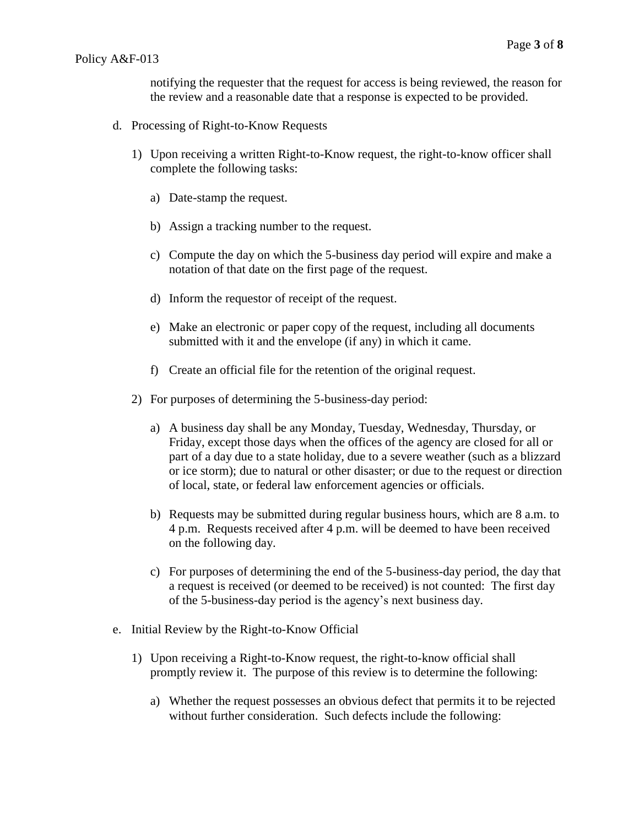notifying the requester that the request for access is being reviewed, the reason for the review and a reasonable date that a response is expected to be provided.

- d. Processing of Right-to-Know Requests
	- 1) Upon receiving a written Right-to-Know request, the right-to-know officer shall complete the following tasks:
		- a) Date-stamp the request.
		- b) Assign a tracking number to the request.
		- c) Compute the day on which the 5-business day period will expire and make a notation of that date on the first page of the request.
		- d) Inform the requestor of receipt of the request.
		- e) Make an electronic or paper copy of the request, including all documents submitted with it and the envelope (if any) in which it came.
		- f) Create an official file for the retention of the original request.
	- 2) For purposes of determining the 5-business-day period:
		- a) A business day shall be any Monday, Tuesday, Wednesday, Thursday, or Friday, except those days when the offices of the agency are closed for all or part of a day due to a state holiday, due to a severe weather (such as a blizzard or ice storm); due to natural or other disaster; or due to the request or direction of local, state, or federal law enforcement agencies or officials.
		- b) Requests may be submitted during regular business hours, which are 8 a.m. to 4 p.m. Requests received after 4 p.m. will be deemed to have been received on the following day.
		- c) For purposes of determining the end of the 5-business-day period, the day that a request is received (or deemed to be received) is not counted: The first day of the 5-business-day period is the agency's next business day.
- e. Initial Review by the Right-to-Know Official
	- 1) Upon receiving a Right-to-Know request, the right-to-know official shall promptly review it. The purpose of this review is to determine the following:
		- a) Whether the request possesses an obvious defect that permits it to be rejected without further consideration. Such defects include the following: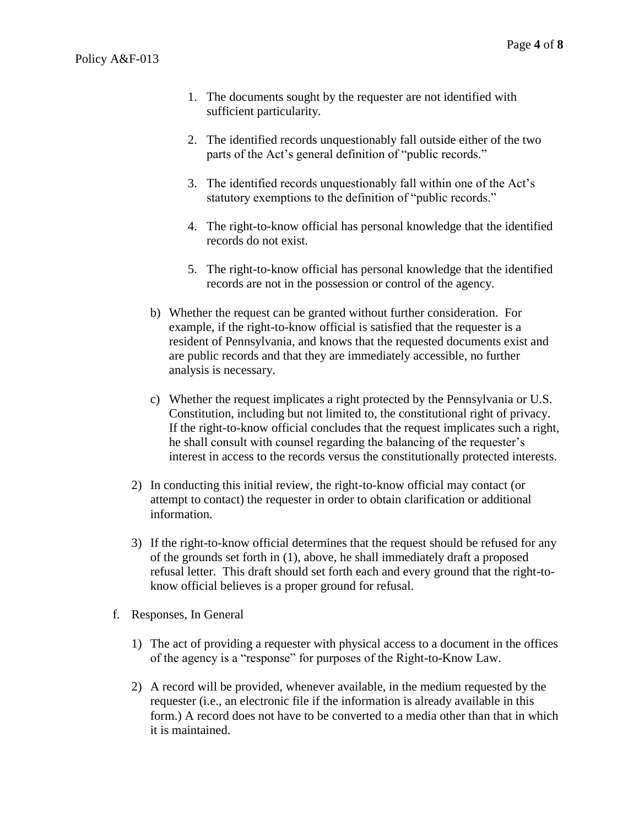- 1. The documents sought by the requester are not identified with sufficient particularity.
- 2. The identified records unquestionably fall outside either of the two parts of the Act's general definition of "public records."
- 3. The identified records unquestionably fall within one of the Act's statutory exemptions to the definition of "public records."
- 4. The right-to-know official has personal knowledge that the identified records do not exist.
- 5. The right-to-know official has personal knowledge that the identified records are not in the possession or control of the agency.
- b) Whether the request can be granted without further consideration. For example, if the right-to-know official is satisfied that the requester is a resident of Pennsylvania, and knows that the requested documents exist and are public records and that they are immediately accessible, no further analysis is necessary.
- c) Whether the request implicates a right protected by the Pennsylvania or U.S. Constitution, including but not limited to, the constitutional right of privacy. If the right-to-know official concludes that the request implicates such a right, he shall consult with counsel regarding the balancing of the requester's interest in access to the records versus the constitutionally protected interests.
- 2) In conducting this initial review, the right-to-know official may contact (or attempt to contact) the requester in order to obtain clarification or additional information.
- 3) If the right-to-know official determines that the request should be refused for any of the grounds set forth in (1), above, he shall immediately draft a proposed refusal letter. This draft should set forth each and every ground that the right-toknow official believes is a proper ground for refusal.
- f. Responses, In General
	- 1) The act of providing a requester with physical access to a document in the offices of the agency is a "response" for purposes of the Right-to-Know Law.
	- 2) A record will be provided, whenever available, in the medium requested by the requester (i.e., an electronic file if the information is already available in this form.) A record does not have to be converted to a media other than that in which it is maintained.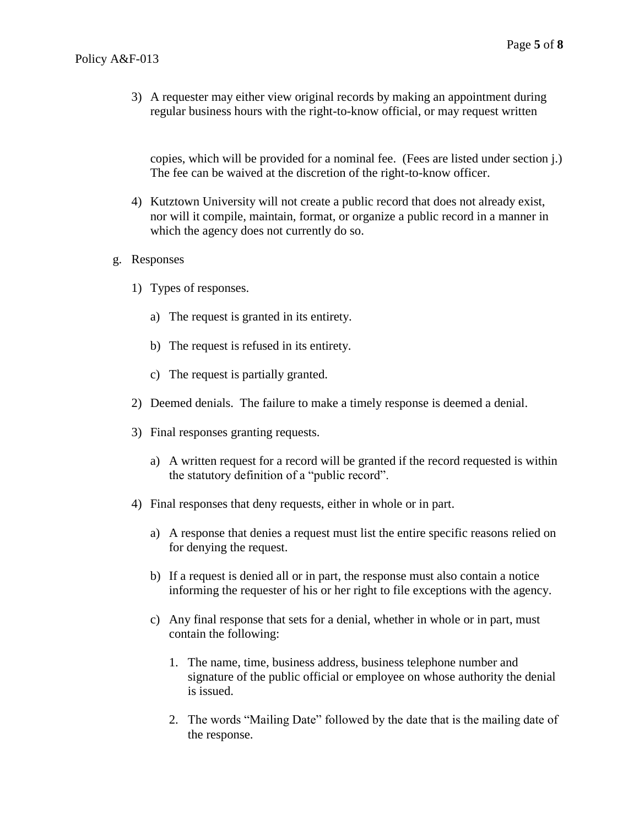3) A requester may either view original records by making an appointment during regular business hours with the right-to-know official, or may request written

copies, which will be provided for a nominal fee. (Fees are listed under section j.) The fee can be waived at the discretion of the right-to-know officer.

- 4) Kutztown University will not create a public record that does not already exist, nor will it compile, maintain, format, or organize a public record in a manner in which the agency does not currently do so.
- g. Responses
	- 1) Types of responses.
		- a) The request is granted in its entirety.
		- b) The request is refused in its entirety.
		- c) The request is partially granted.
	- 2) Deemed denials. The failure to make a timely response is deemed a denial.
	- 3) Final responses granting requests.
		- a) A written request for a record will be granted if the record requested is within the statutory definition of a "public record".
	- 4) Final responses that deny requests, either in whole or in part.
		- a) A response that denies a request must list the entire specific reasons relied on for denying the request.
		- b) If a request is denied all or in part, the response must also contain a notice informing the requester of his or her right to file exceptions with the agency.
		- c) Any final response that sets for a denial, whether in whole or in part, must contain the following:
			- 1. The name, time, business address, business telephone number and signature of the public official or employee on whose authority the denial is issued.
			- 2. The words "Mailing Date" followed by the date that is the mailing date of the response.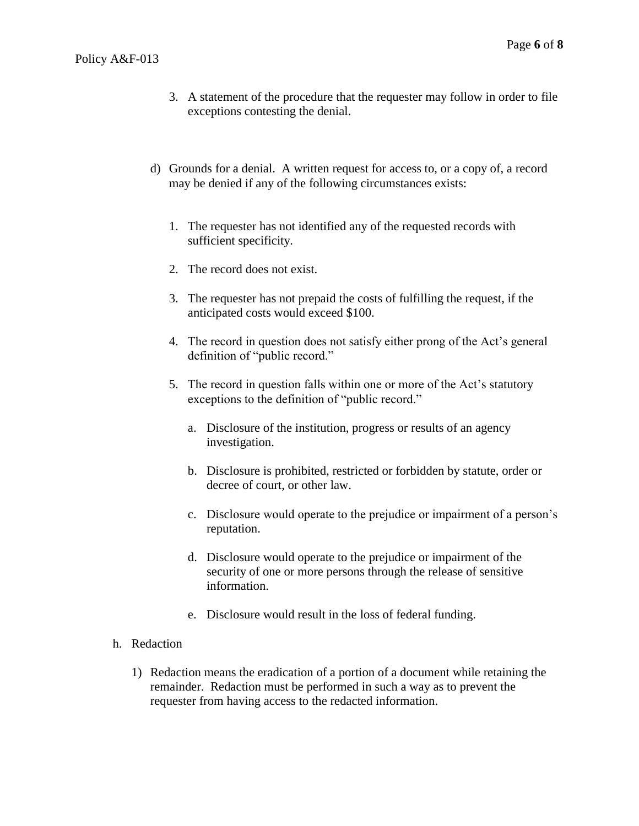- 3. A statement of the procedure that the requester may follow in order to file exceptions contesting the denial.
- d) Grounds for a denial. A written request for access to, or a copy of, a record may be denied if any of the following circumstances exists:
	- 1. The requester has not identified any of the requested records with sufficient specificity.
	- 2. The record does not exist.
	- 3. The requester has not prepaid the costs of fulfilling the request, if the anticipated costs would exceed \$100.
	- 4. The record in question does not satisfy either prong of the Act's general definition of "public record."
	- 5. The record in question falls within one or more of the Act's statutory exceptions to the definition of "public record."
		- a. Disclosure of the institution, progress or results of an agency investigation.
		- b. Disclosure is prohibited, restricted or forbidden by statute, order or decree of court, or other law.
		- c. Disclosure would operate to the prejudice or impairment of a person's reputation.
		- d. Disclosure would operate to the prejudice or impairment of the security of one or more persons through the release of sensitive information.
		- e. Disclosure would result in the loss of federal funding.

#### h. Redaction

1) Redaction means the eradication of a portion of a document while retaining the remainder. Redaction must be performed in such a way as to prevent the requester from having access to the redacted information.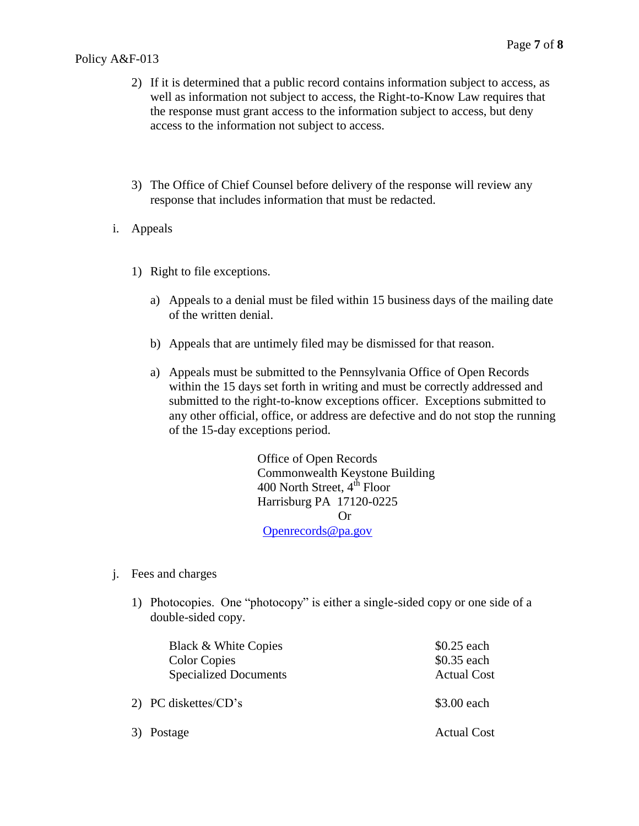- 2) If it is determined that a public record contains information subject to access, as well as information not subject to access, the Right-to-Know Law requires that the response must grant access to the information subject to access, but deny access to the information not subject to access.
- 3) The Office of Chief Counsel before delivery of the response will review any response that includes information that must be redacted.
- i. Appeals
	- 1) Right to file exceptions.
		- a) Appeals to a denial must be filed within 15 business days of the mailing date of the written denial.
		- b) Appeals that are untimely filed may be dismissed for that reason.
		- a) Appeals must be submitted to the Pennsylvania Office of Open Records within the 15 days set forth in writing and must be correctly addressed and submitted to the right-to-know exceptions officer. Exceptions submitted to any other official, office, or address are defective and do not stop the running of the 15-day exceptions period.

Office of Open Records Commonwealth Keystone Building 400 North Street,  $4<sup>th</sup>$  Floor Harrisburg PA 17120-0225 Or [Openrecords@pa.gov](mailto:Openrecords@pa.gov)

- j. Fees and charges
	- 1) Photocopies. One "photocopy" is either a single-sided copy or one side of a double-sided copy.

| Black & White Copies<br><b>Color Copies</b><br><b>Specialized Documents</b> | $$0.25$ each<br>\$0.35 each<br><b>Actual Cost</b> |
|-----------------------------------------------------------------------------|---------------------------------------------------|
| 2) PC diskettes/CD's                                                        | \$3.00 each                                       |
| 3) Postage                                                                  | <b>Actual Cost</b>                                |